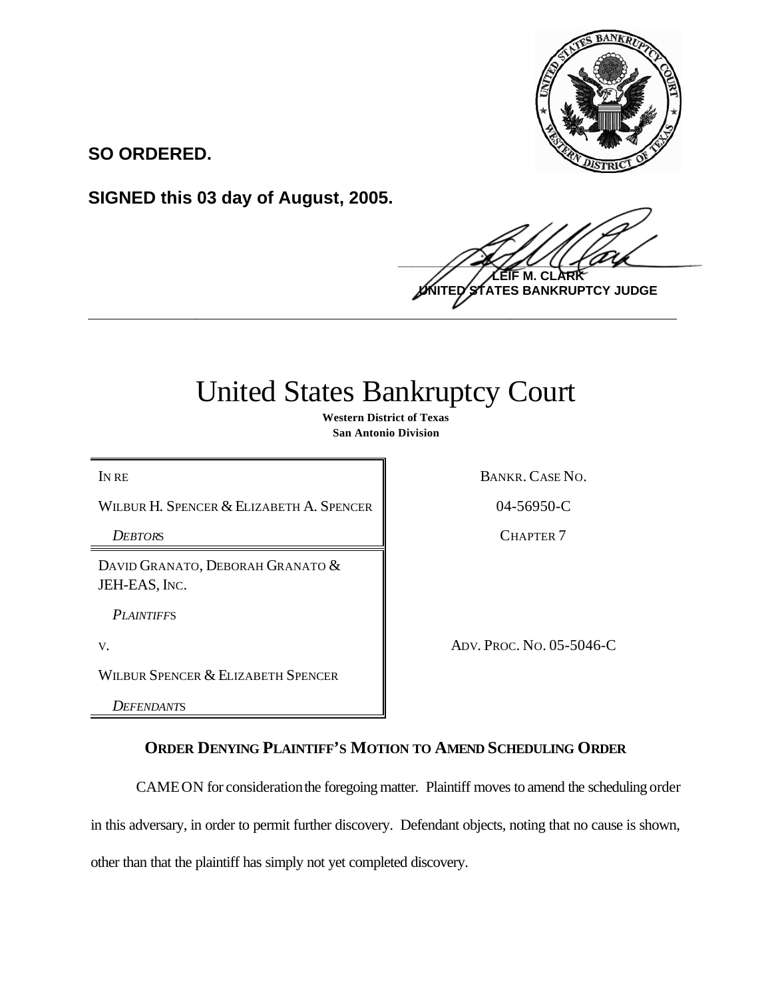

**SO ORDERED.**

**SIGNED this 03 day of August, 2005.**

 $\frac{1}{2}$ **LEIF M. CLARK ES BANKRUPTCY JUDGE \_\_\_\_\_\_\_\_\_\_\_\_\_\_\_\_\_\_\_\_\_\_\_\_\_\_\_\_\_\_\_\_\_\_\_\_\_\_\_\_\_\_\_\_\_\_\_\_\_\_\_\_\_\_\_\_\_\_\_\_**

## United States Bankruptcy Court

**Western District of Texas San Antonio Division**

WILBUR H. SPENCER & ELIZABETH A. SPENCER 4 04-56950-C

IN RE BANKR. CASE NO.

**DEBTORS** CHAPTER 7

DAVID GRANATO, DEBORAH GRANATO & JEH-EAS, INC.

*PLAINTIFF*S

V. ADV. PROC. NO. 05-5046-C

WILBUR SPENCER & ELIZABETH SPENCER

*DEFENDANT*S

## **ORDER DENYING PLAINTIFF'S MOTION TO AMEND SCHEDULING ORDER**

CAMEON for consideration the foregoing matter. Plaintiff moves to amend the scheduling order

in this adversary, in order to permit further discovery. Defendant objects, noting that no cause is shown,

other than that the plaintiff has simply not yet completed discovery.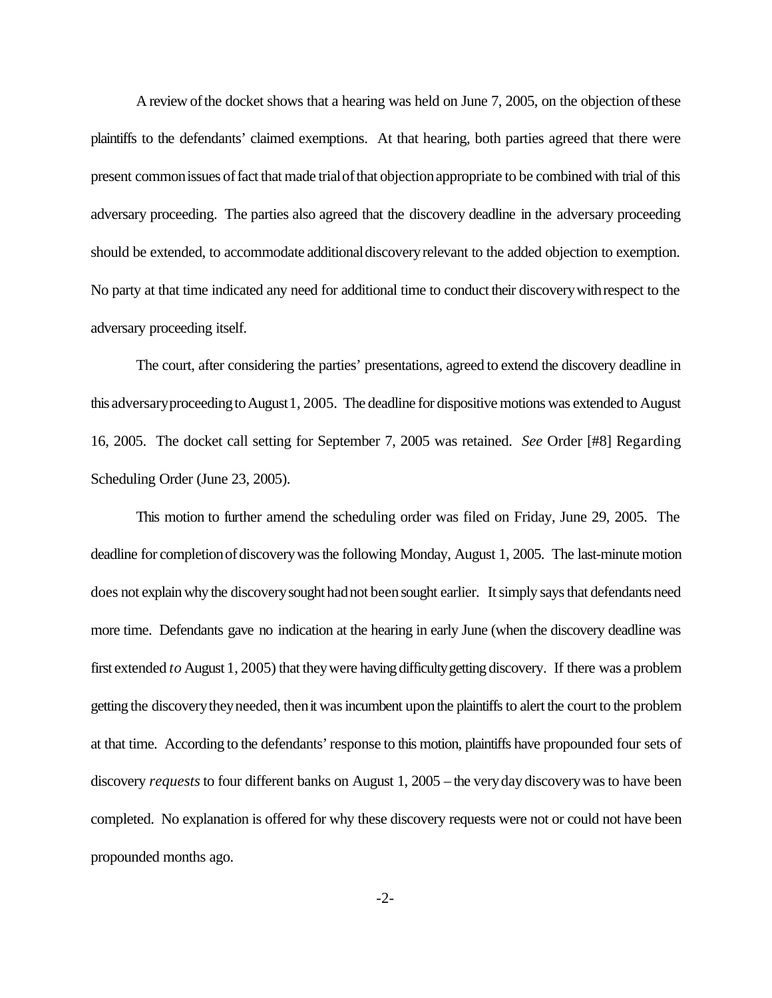A review of the docket shows that a hearing was held on June 7, 2005, on the objection of these plaintiffs to the defendants' claimed exemptions. At that hearing, both parties agreed that there were present commonissues offact that made trialofthat objectionappropriate to be combined with trial of this adversary proceeding. The parties also agreed that the discovery deadline in the adversary proceeding should be extended, to accommodate additional discovery relevant to the added objection to exemption. No party at that time indicated any need for additional time to conduct their discoverywithrespect to the adversary proceeding itself.

The court, after considering the parties' presentations, agreed to extend the discovery deadline in this adversary proceeding to August 1, 2005. The deadline for dispositive motions was extended to August 16, 2005. The docket call setting for September 7, 2005 was retained. *See* Order [#8] Regarding Scheduling Order (June 23, 2005).

This motion to further amend the scheduling order was filed on Friday, June 29, 2005. The deadline for completion of discovery was the following Monday, August 1, 2005. The last-minute motion does not explainwhy the discoverysought hadnot beensought earlier. It simply says that defendants need more time. Defendants gave no indication at the hearing in early June (when the discovery deadline was first extended *to* August 1, 2005) that they were having difficulty getting discovery. If there was a problem getting the discovery they needed, then it was incumbent upon the plaintiffs to alert the court to the problem at that time. According to the defendants'response to this motion, plaintiffs have propounded four sets of discovery *requests* to four different banks on August 1, 2005 – the verydaydiscoverywasto have been completed. No explanation is offered for why these discovery requests were not or could not have been propounded months ago.